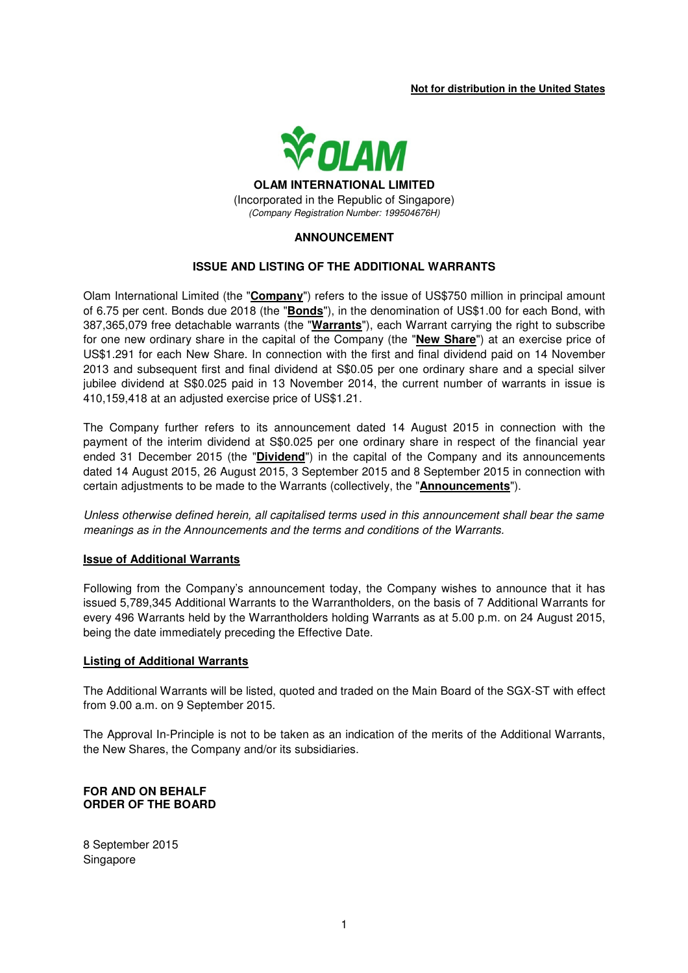### **Not for distribution in the United States**



(Incorporated in the Republic of Singapore) (Company Registration Number: 199504676H)

## **ANNOUNCEMENT**

## **ISSUE AND LISTING OF THE ADDITIONAL WARRANTS**

Olam International Limited (the "**Company**") refers to the issue of US\$750 million in principal amount of 6.75 per cent. Bonds due 2018 (the "**Bonds**"), in the denomination of US\$1.00 for each Bond, with 387,365,079 free detachable warrants (the "**Warrants**"), each Warrant carrying the right to subscribe for one new ordinary share in the capital of the Company (the "**New Share**") at an exercise price of US\$1.291 for each New Share. In connection with the first and final dividend paid on 14 November 2013 and subsequent first and final dividend at S\$0.05 per one ordinary share and a special silver jubilee dividend at S\$0.025 paid in 13 November 2014, the current number of warrants in issue is 410,159,418 at an adjusted exercise price of US\$1.21.

The Company further refers to its announcement dated 14 August 2015 in connection with the payment of the interim dividend at S\$0.025 per one ordinary share in respect of the financial year ended 31 December 2015 (the "**Dividend**") in the capital of the Company and its announcements dated 14 August 2015, 26 August 2015, 3 September 2015 and 8 September 2015 in connection with certain adjustments to be made to the Warrants (collectively, the "**Announcements**").

Unless otherwise defined herein, all capitalised terms used in this announcement shall bear the same meanings as in the Announcements and the terms and conditions of the Warrants.

### **Issue of Additional Warrants**

Following from the Company's announcement today, the Company wishes to announce that it has issued 5,789,345 Additional Warrants to the Warrantholders, on the basis of 7 Additional Warrants for every 496 Warrants held by the Warrantholders holding Warrants as at 5.00 p.m. on 24 August 2015, being the date immediately preceding the Effective Date.

#### **Listing of Additional Warrants**

The Additional Warrants will be listed, quoted and traded on the Main Board of the SGX-ST with effect from 9.00 a.m. on 9 September 2015.

The Approval In-Principle is not to be taken as an indication of the merits of the Additional Warrants, the New Shares, the Company and/or its subsidiaries.

## **FOR AND ON BEHALF ORDER OF THE BOARD**

8 September 2015 Singapore